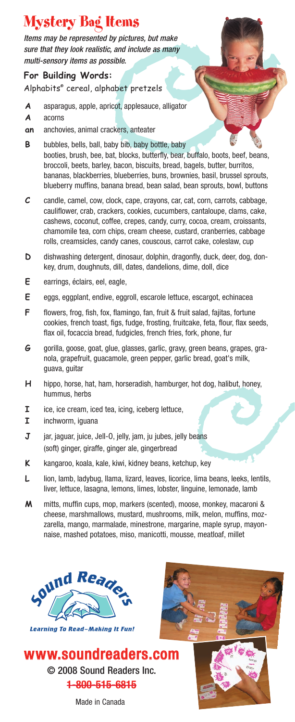# Mystery Bag Items

*Items may be represented by pictures, but make sure that they look realistic, and include as many multi-sensory items as possible.* 

# **For Building Words:**

Alphabits® cereal, alphabet pretzels

- **A** asparagus, apple, apricot, applesauce, alligator
- **A** acorns
- **an** anchovies, animal crackers, anteater
- **B** bubbles, bells, ball, baby bib, baby bottle, baby booties, brush, bee, bat, blocks, butterfly, bear, buffalo, boots, beef, beans, broccoli, beets, barley, bacon, biscuits, bread, bagels, butter, burritos, bananas, blackberries, blueberries, buns, brownies, basil, brussel sprouts, blueberry muffins, banana bread, bean salad, bean sprouts, bowl, buttons
- **C** candle, camel, cow, clock, cape, crayons, car, cat, corn, carrots, cabbage, cauliflower, crab, crackers, cookies, cucumbers, cantaloupe, clams, cake, cashews, coconut, coffee, crepes, candy, curry, cocoa, cream, croissants, chamomile tea, corn chips, cream cheese, custard, cranberries, cabbage rolls, creamsicles, candy canes, couscous, carrot cake, coleslaw, cup
- **D** dishwashing detergent, dinosaur, dolphin, dragonfly, duck, deer, dog, donkey, drum, doughnuts, dill, dates, dandelions, dime, doll, dice
- **E** earrings, éclairs, eel, eagle,
- **E** eggs, eggplant, endive, eggroll, escarole lettuce, escargot, echinacea
- **F** flowers, frog, fish, fox, flamingo, fan, fruit & fruit salad, fajitas, fortune cookies, french toast, figs, fudge, frosting, fruitcake, feta, flour, flax seeds, flax oil, focaccia bread, fudgicles, french fries, fork, phone, fur
- **G** gorilla, goose, goat, glue, glasses, garlic, gravy, green beans, grapes, granola, grapefruit, guacamole, green pepper, garlic bread, goat's milk, guava, guitar
- **H** hippo, horse, hat, ham, horseradish, hamburger, hot dog, halibut, honey, hummus, herbs
- **I** ice, ice cream, iced tea, icing, iceberg lettuce,
- **I** inchworm, iguana
- **J** jar, jaguar, juice, Jell-O, jelly, jam, ju jubes, jelly beans (soft) ginger, giraffe, ginger ale, gingerbread
- **K** kangaroo, koala, kale, kiwi, kidney beans, ketchup, key
- L lion, lamb, ladybug, llama, lizard, leaves, licorice, lima beans, leeks, lentils, liver, lettuce, lasagna, lemons, limes, lobster, linguine, lemonade, lamb
- **M** mitts, muffin cups, mop, markers (scented), moose, monkey, macaroni & cheese, marshmallows, mustard, mushrooms, milk, melon, muffins, mozzarella, mango, marmalade, minestrone, margarine, maple syrup, mayonnaise, mashed potatoes, miso, manicotti, mousse, meatloaf, millet



**Learning To Read-Making It Fun!** 







Made in Canada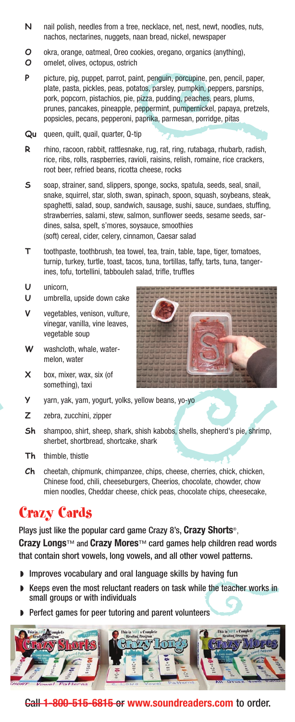- **N** nail polish, needles from a tree, necklace, net, nest, newt, noodles, nuts, nachos, nectarines, nuggets, naan bread, nickel, newspaper
- **O** okra, orange, oatmeal, Oreo cookies, oregano, organics (anything),
- **O** omelet, olives, octopus, ostrich
- **P** picture, pig, puppet, parrot, paint, penguin, porcupine, pen, pencil, paper, plate, pasta, pickles, peas, potatos, parsley, pumpkin, peppers, parsnips, pork, popcorn, pistachios, pie, pizza, pudding, peaches, pears, plums, prunes, pancakes, pineapple, peppermint, pumpernickel, papaya, pretzels, popsicles, pecans, pepperoni, paprika, parmesan, porridge, pitas
- **Qu** queen, quilt, quail, quarter, Q-tip
- **R** rhino, racoon, rabbit, rattlesnake, rug, rat, ring, rutabaga, rhubarb, radish, rice, ribs, rolls, raspberries, ravioli, raisins, relish, romaine, rice crackers, root beer, refried beans, ricotta cheese, rocks
- **S** soap, strainer, sand, slippers, sponge, socks, spatula, seeds, seal, snail, snake, squirrel, star, sloth, swan, spinach, spoon, squash, soybeans, steak, spaghetti, salad, soup, sandwich, sausage, sushi, sauce, sundaes, stuffing, strawberries, salami, stew, salmon, sunflower seeds, sesame seeds, sardines, salsa, spelt, s'mores, soysauce, smoothies (soft) cereal, cider, celery, cinnamon, Caesar salad
- **T** toothpaste, toothbrush, tea towel, tea, train, table, tape, tiger, tomatoes, turnip, turkey, turtle, toast, tacos, tuna, tortillas, taffy, tarts, tuna, tangerines, tofu, tortellini, tabbouleh salad, trifle, truffles
- **U** unicorn,
- **U** umbrella, upside down cake
- **V** vegetables, venison, vulture, vinegar, vanilla, vine leaves, vegetable soup
- **W** washcloth, whale, watermelon, water
- **X** box, mixer, wax, six (of something), taxi
- **Y** yarn, yak, yam, yogurt, yolks, yellow beans, yo-yo
- **Z** zebra, zucchini, zipper
- **Sh** shampoo, shirt, sheep, shark, shish kabobs, shells, shepherd's pie, shrimp, sherbet, shortbread, shortcake, shark
- **Th** thimble, thistle
- **Ch** cheetah, chipmunk, chimpanzee, chips, cheese, cherries, chick, chicken, Chinese food, chili, cheeseburgers, Cheerios, chocolate, chowder, chow mien noodles, Cheddar cheese, chick peas, chocolate chips, cheesecake,

# Crazy Cards

Plays just like the popular card game Crazy 8's, **Crazy Shorts**®, **Crazy Longs**™ and **Crazy Mores**™ card games help children read words that contain short vowels, long vowels, and all other vowel patterns.

- ◗ Improves vocabulary and oral language skills by having fun
- ◗ Keeps even the most reluctant readers on task while the teacher works in small groups or with individuals
- Perfect games for peer tutoring and parent volunteers



# Call **1-800-515-6815** or **www.soundreaders.com** to order.

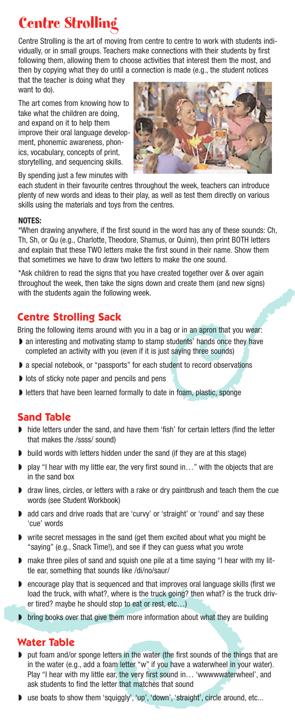# Centre Strolling

Centre Strolling is the art of moving from centre to centre to work with students individually, or in small groups. Teachers make connections with their students by first following them, allowing them to choose activities that interest them the most, and then by copying what they do until a connection is made (e.g., the student notices

that the teacher is doing what they want to do).

The art comes from knowing how to take what the children are doing, and expand on it to help them improve their oral language development, phonemic awareness, phonics, vocabulary, concepts of print, storytelling, and sequencing skills.



By spending just a few minutes with

each student in their favourite centres throughout the week, teachers can introduce plenty of new words and ideas to their play, as well as test them directly on various skills using the materials and toys from the centres.

#### **NOTES:**

\*When drawing anywhere, if the first sound in the word has any of these sounds: Ch, Th, Sh, or Qu (e.g., Charlotte, Theodore, Shamus, or Quinn), then print BOTH letters and explain that these TWO letters make the first sound in their name. Show them that sometimes we have to draw two letters to make the one sound.

\*Ask children to read the signs that you have created together over & over again throughout the week, then take the signs down and create them (and new signs) with the students again the following week.

# **Centre Strolling Sack**

Bring the following items around with you in a bag or in an apron that you wear:

- an interesting and motivating stamp to stamp students' hands once they have completed an activity with you (even if it is just saying three sounds)
- a special notebook, or "passports" for each student to record observations
- ◗ lots of sticky note paper and pencils and pens
- letters that have been learned formally to date in foam, plastic, sponge

# **Sand Table**

- hide letters under the sand, and have them 'fish' for certain letters (find the letter that makes the /ssss/ sound)
- ◗ build words with letters hidden under the sand (if they are at this stage)
- play "I hear with my little ear, the very first sound in..." with the objects that are in the sand box
- ◗ draw lines, circles, or letters with a rake or dry paintbrush and teach them the cue words (see Student Workbook)
- add cars and drive roads that are 'curvy' or 'straight' or 'round' and say these 'cue' words
- write secret messages in the sand (get them excited about what you might be "saying" (e.g., Snack Time!), and see if they can guess what you wrote
- make three piles of sand and squish one pile at a time saying "I hear with my little ear, something that sounds like /di/no/saur/
- ◗ encourage play that is sequenced and that improves oral language skills (first we load the truck, with what?, where is the truck going? then what? is the truck driver tired? maybe he should stop to eat or rest, etc…)
- ▶ bring books over that give them more information about what they are building

# **Water Table**

- put foam and/or sponge letters in the water (the first sounds of the things that are in the water (e.g., add a foam letter "w" if you have a waterwheel in your water). Play "I hear with my little ear, the very first sound in… 'wwwwwaterwheel', and ask students to find the letter that matches that sound
- use boats to show them 'squiggly', 'up', 'down', 'straight', circle around, etc...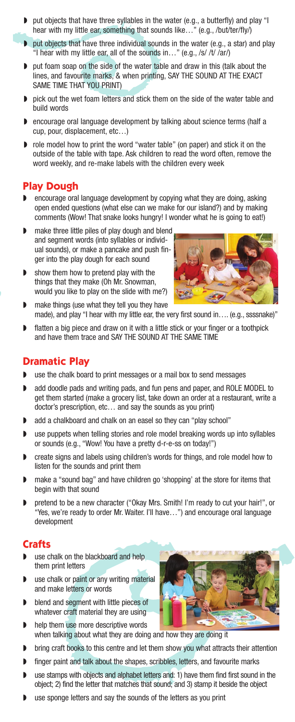- ◗ put objects that have three syllables in the water (e.g., a butterfly) and play "I hear with my little ear, something that sounds like..." (e.g., /but/ter/fly/)
- ◗ put objects that have three individual sounds in the water (e.g., a star) and play "I hear with my little ear, all of the sounds in…" (e.g., /s/ /t/ /ar/)
- ◗ put foam soap on the side of the water table and draw in this (talk about the lines, and favourite marks, & when printing, SAY THE SOUND AT THE EXACT SAME TIME THAT YOU PRINT)
- pick out the wet foam letters and stick them on the side of the water table and build words
- encourage oral language development by talking about science terms (half a cup, pour, displacement, etc…)
- ◗ role model how to print the word "water table" (on paper) and stick it on the outside of the table with tape. Ask children to read the word often, remove the word weekly, and re-make labels with the children every week

# **Play Dough**

- ◗ encourage oral language development by copying what they are doing, asking open ended questions (what else can we make for our island?) and by making comments (Wow! That snake looks hungry! I wonder what he is going to eat!)
- make three little piles of play dough and blend and segment words (into syllables or individual sounds), or make a pancake and push finger into the play dough for each sound
- show them how to pretend play with the things that they make (Oh Mr. Snowman, would you like to play on the slide with me?)



- make things (use what they tell you they have made), and play "I hear with my little ear, the very first sound in.... (e.g., ssssnake)"
- flatten a big piece and draw on it with a little stick or your finger or a toothpick and have them trace and SAY THE SOUND AT THE SAME TIME

### **Dramatic Play**

- ◗ use the chalk board to print messages or a mail box to send messages
- ◗ add doodle pads and writing pads, and fun pens and paper, and ROLE MODEL to get them started (make a grocery list, take down an order at a restaurant, write a doctor's prescription, etc… and say the sounds as you print)
- add a chalkboard and chalk on an easel so they can "play school"
- use puppets when telling stories and role model breaking words up into syllables or sounds (e.g., "Wow! You have a pretty d-r-e-ss on today!")
- ◗ create signs and labels using children's words for things, and role model how to listen for the sounds and print them
- make a "sound bag" and have children go 'shopping' at the store for items that begin with that sound
- ◗ pretend to be a new character ("Okay Mrs. Smith! I'm ready to cut your hair!", or "Yes, we're ready to order Mr. Waiter. I'll have…") and encourage oral language development

### **Crafts**

- use chalk on the blackboard and help them print letters
- use chalk or paint or any writing material and make letters or words
- ◗ blend and segment with little pieces of whatever craft material they are using
- help them use more descriptive words when talking about what they are doing and how they are doing it
- bring craft books to this centre and let them show you what attracts their attention
- finger paint and talk about the shapes, scribbles, letters, and favourite marks
- use stamps with objects and alphabet letters and: 1) have them find first sound in the object; 2) find the letter that matches that sound; and 3) stamp it beside the object
- use sponge letters and say the sounds of the letters as you print

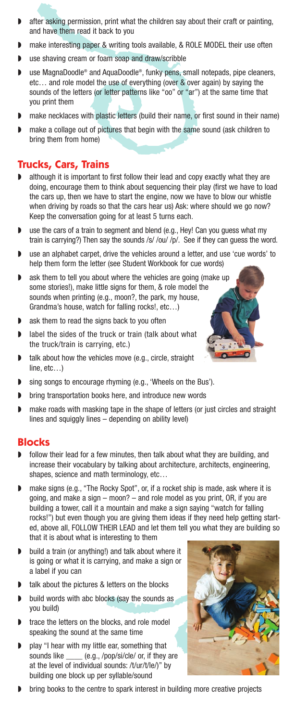- after asking permission, print what the children say about their craft or painting, and have them read it back to you
- make interesting paper & writing tools available, & ROLE MODEL their use often
- use shaving cream or foam soap and draw/scribble
- use MagnaDoodle® and AquaDoodle®, funky pens, small notepads, pipe cleaners, etc… and role model the use of everything (over & over again) by saying the sounds of the letters (or letter patterns like "oo" or "ar") at the same time that you print them
- make necklaces with plastic letters (build their name, or first sound in their name)
- make a collage out of pictures that begin with the same sound (ask children to bring them from home)

# **Trucks, Cars, Trains**

- ◗ although it is important to first follow their lead and copy exactly what they are doing, encourage them to think about sequencing their play (first we have to load the cars up, then we have to start the engine, now we have to blow our whistle when driving by roads so that the cars hear us) Ask: where should we go now? Keep the conversation going for at least 5 turns each.
- use the cars of a train to segment and blend (e.g., Hey! Can you guess what my train is carrying?) Then say the sounds /s/ /ou/ /p/. See if they can guess the word.
- use an alphabet carpet, drive the vehicles around a letter, and use 'cue words' to help them form the letter (see Student Workbook for cue words)
- ask them to tell you about where the vehicles are going (make up some stories!), make little signs for them, & role model the sounds when printing (e.g., moon?, the park, my house, Grandma's house, watch for falling rocks!, etc…)
- ◗ ask them to read the signs back to you often
- label the sides of the truck or train (talk about what the truck/train is carrying, etc.)
- talk about how the vehicles move (e.g., circle, straight line, etc…)
- sing songs to encourage rhyming (e.g., 'Wheels on the Bus').
- ◗ bring transportation books here, and introduce new words
- make roads with masking tape in the shape of letters (or just circles and straight lines and squiggly lines – depending on ability level)

### **Blocks**

- follow their lead for a few minutes, then talk about what they are building, and increase their vocabulary by talking about architecture, architects, engineering, shapes, science and math terminology, etc...
- make signs (e.g., "The Rocky Spot", or, if a rocket ship is made, ask where it is going, and make a sign – moon? – and role model as you print, OR, if you are building a tower, call it a mountain and make a sign saying "watch for falling rocks!") but even though you are giving them ideas if they need help getting started, above all, FOLLOW THEIR LEAD and let them tell you what they are building so that it is about what is interesting to them
- ◗ build a train (or anything!) and talk about where it is going or what it is carrying, and make a sign or a label if you can
- talk about the pictures & letters on the blocks
- build words with abc blocks (say the sounds as you build)
- trace the letters on the blocks, and role model speaking the sound at the same time
- play "I hear with my little ear, something that sounds like \_\_\_\_ (e.g., /pop/si/cle/ or, if they are at the level of individual sounds: /t/ur/t/le/)" by building one block up per syllable/sound



P.

 $\bullet$ 

 $\bullet$ 

◗ bring books to the centre to spark interest in building more creative projects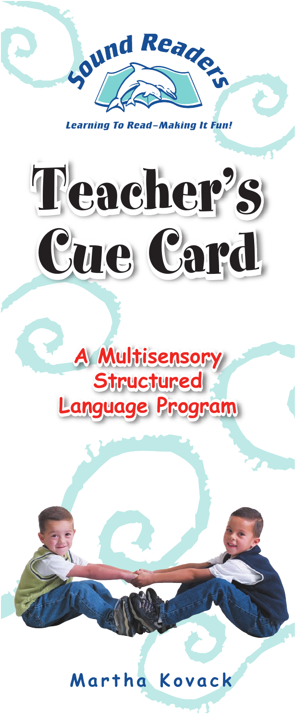

Learning To Read-Making It Fun!





# Martha Kovack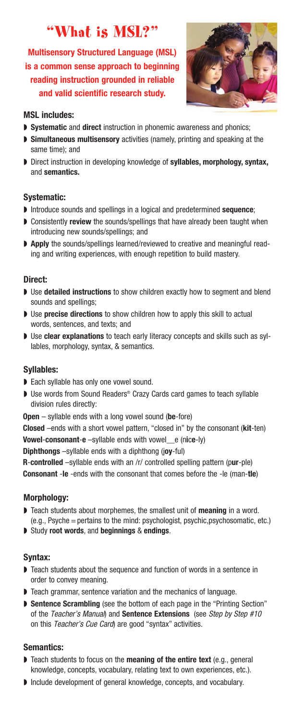# "What is MSL?"

**Multisensory Structured Language (MSL) is a common sense approach to beginning reading instruction grounded in reliable and valid scientific research study.**



#### **MSL includes:**

- ◗ **Systematic** and **direct** instruction in phonemic awareness and phonics;
- ◗ **Simultaneous multisensory** activities (namely, printing and speaking at the same time); and
- ◗ Direct instruction in developing knowledge of **syllables, morphology, syntax,** and **semantics.**

#### **Systematic:**

- ◗ Introduce sounds and spellings in a logical and predetermined **sequence**;
- ◗ Consistently **review** the sounds/spellings that have already been taught when introducing new sounds/spellings; and
- ◗ **Apply** the sounds/spellings learned/reviewed to creative and meaningful reading and writing experiences, with enough repetition to build mastery.

### **Direct:**

- Use **detailed instructions** to show children exactly how to segment and blend sounds and spellings;
- ◗ Use **precise directions** to show children how to apply this skill to actual words, sentences, and texts; and
- ◗ Use **clear explanations** to teach early literacy concepts and skills such as syllables, morphology, syntax, & semantics.

#### **Syllables:**

- ◗ Each syllable has only one vowel sound.
- ◗ Use words from Sound Readers® Crazy Cards card games to teach syllable division rules directly:

**Open** – syllable ends with a long vowel sound (**be**-fore)

**Closed** –ends with a short vowel pattern, "closed in" by the consonant (**kit**-ten) **Vowel**-**consonant**-**e** –syllable ends with vowel\_\_e (n**i**c**e**-ly)

**Diphthongs** –syllable ends with a diphthong (j**oy**-ful)

**R**-**controlled** –syllable ends with an /r/ controlled spelling pattern (p**ur**-ple) **Consonant** -**le** -ends with the consonant that comes before the -le (man-**tle**)

#### **Morphology:**

- ◗ Teach students about morphemes, the smallest unit of **meaning** in a word. (e.g., Psyche =pertains to the mind: psychologist, psychic,psychosomatic, etc.)
- ◗ Study **root words**, and **beginnings** & **endings**.

### **Syntax:**

- ◗ Teach students about the sequence and function of words in a sentence in order to convey meaning.
- ◗ Teach grammar, sentence variation and the mechanics of language.
- **Sentence Scrambling** (see the bottom of each page in the "Printing Section" of the Teacher's Manual) and **Sentence Extensions** (see Step by Step #10 on this Teacher's Cue Card) are good "syntax" activities.

### **Semantics:**

- ◗ Teach students to focus on the **meaning of the entire text** (e.g., general knowledge, concepts, vocabulary, relating text to own experiences, etc.).
- ◗ Include development of general knowledge, concepts, and vocabulary.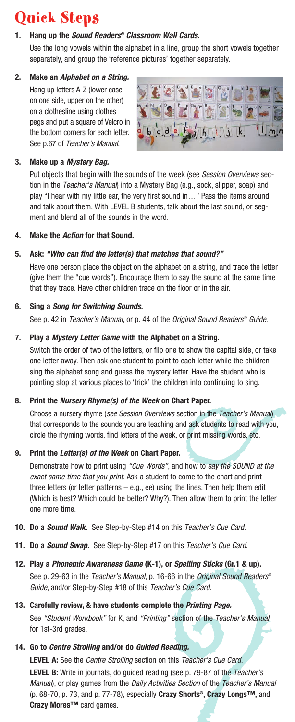# Quick Steps

### **1. Hang up the Sound Readers® Classroom Wall Cards.**

Use the long vowels within the alphabet in a line, group the short vowels together separately, and group the 'reference pictures' together separately.

#### **2. Make an Alphabet on a String.**

Hang up letters A-Z (lower case on one side, upper on the other) on a clothesline using clothes pegs and put a square of Velcro in the bottom corners for each letter. See p.67 of Teacher's Manual.



### **3. Make up a Mystery Bag.**

Put objects that begin with the sounds of the week (see Session Overviews section in the Teacher's Manual) into a Mystery Bag (e.g., sock, slipper, soap) and play "I hear with my little ear, the very first sound in…" Pass the items around and talk about them. With LEVEL B students, talk about the last sound, or segment and blend all of the sounds in the word.

#### **4. Make the Action for that Sound.**

### **5. Ask: "Who can find the letter(s) that matches that sound?"**

Have one person place the object on the alphabet on a string, and trace the letter (give them the "cue words"). Encourage them to say the sound at the same time that they trace. Have other children trace on the floor or in the air.

### **6. Sing a Song for Switching Sounds.**

See p. 42 in Teacher's Manual, or p. 44 of the Original Sound Readers<sup>®</sup> Guide.

#### **7. Play a Mystery Letter Game with the Alphabet on a String.**

Switch the order of two of the letters, or flip one to show the capital side, or take one letter away. Then ask one student to point to each letter while the children sing the alphabet song and guess the mystery letter. Have the student who is pointing stop at various places to 'trick' the children into continuing to sing.

#### **8. Print the Nursery Rhyme(s) of the Week on Chart Paper.**

Choose a nursery rhyme (see Session Overviews section in the Teacher's Manual) that corresponds to the sounds you are teaching and ask students to read with you, circle the rhyming words, find letters of the week, or print missing words, etc.

#### **9. Print the Letter(s) of the Week on Chart Paper.**

Demonstrate how to print using "Cue Words", and how to say the SOUND at the exact same time that you print. Ask a student to come to the chart and print three letters (or letter patterns  $-$  e.g., ee) using the lines. Then help them edit (Which is best? Which could be better? Why?). Then allow them to print the letter one more time.

- **10. Do a Sound Walk.** See Step-by-Step #14 on this Teacher's Cue Card.
- **11. Do a Sound Swap.** See Step-by-Step #17 on this Teacher's Cue Card.
- **12. Play a Phonemic Awareness Game (K-1), or Spelling Sticks (Gr.1 & up).** See p. 29-63 in the Teacher's Manual, p. 16-66 in the Original Sound Readers® Guide, and/or Step-by-Step #18 of this Teacher's Cue Card.
- **13. Carefully review, & have students complete the Printing Page.** See "Student Workbook" for K, and "Printing" section of the Teacher's Manual for 1st-3rd grades.
- **14. Go to Centre Strolling and/or do Guided Reading.**

LEVEL A: See the *Centre Strolling* section on this *Teacher's Cue Card.* LEVEL B: Write in journals, do guided reading (see p. 79-87 of the Teacher's Manual), or play games from the Daily Activities Section of the Teacher's Manual (p. 68-70, p. 73, and p. 77-78), especially **Crazy Shorts®, Crazy Longs™,** and **Crazy Mores™** card games.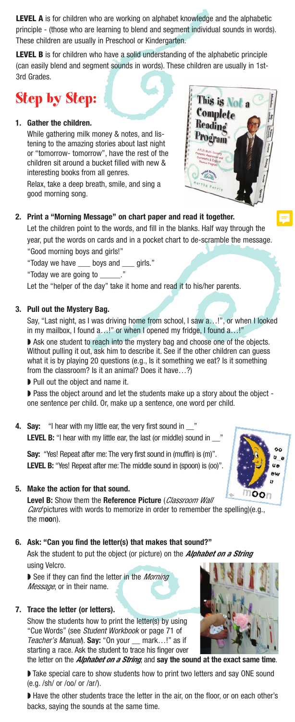**LEVEL A** is for children who are working on alphabet knowledge and the alphabetic principle - (those who are learning to blend and segment individual sounds in words). These children are usually in Preschool or Kindergarten.

**LEVEL B** is for children who have a solid understanding of the alphabetic principle (can easily blend and segment sounds in words). These children are usually in 1st-3rd Grades.

# Step by Step:

#### **1. Gather the children.**

While gathering milk money & notes, and listening to the amazing stories about last night or "tomorrow- tomorrow", have the rest of the children sit around a bucket filled with new & interesting books from all genres.

Relax, take a deep breath, smile, and sing a good morning song.



This is Not a Complete

#### **2. Print a "Morning Message" on chart paper and read it together.**

Let the children point to the words, and fill in the blanks. Half way through the year, put the words on cards and in a pocket chart to de-scramble the message. "Good morning boys and girls!"

"Today we have \_\_\_ boys and \_\_\_ girls."

"Today we are going to \_\_\_\_\_.

Let the "helper of the day" take it home and read it to his/her parents.

#### **3. Pull out the Mystery Bag.**

Say, "Last night, as I was driving home from school, I saw a…!", or when I looked in my mailbox, I found a...!" or when I opened my fridge, I found a...!"

◗ Ask one student to reach into the mystery bag and choose one of the objects. Without pulling it out, ask him to describe it. See if the other children can guess what it is by playing 20 questions (e.g., Is it something we eat? Is it something from the classroom? Is it an animal? Does it have…?)

◗ Pull out the object and name it.

◗ Pass the object around and let the students make up a story about the object one sentence per child. Or, make up a sentence, one word per child.

**4.** Say: "I hear with my little ear, the very first sound in LEVEL B: "I hear with my little ear, the last (or middle) sound in \_\_\_ '

**Say:** "Yes! Repeat after me: The very first sound in (muffin) is (m)". LEVEL B: "Yes! Repeat after me: The middle sound in (spoon) is (oo)".

#### **5. Make the action for that sound.**

OOh **Level B:** Show them the **Reference Picture** (*Classroom Wall Card* pictures with words to memorize in order to remember the spelling)(e.g., the m**oo**n).

**6. Ask: "Can you find the letter(s) that makes that sound?"**

Ask the student to put the object (or picture) on the *Alphabet on a String* using Velcro.

◗ See if they can find the letter in the *Morning Message*, or in their name.

#### **7. Trace the letter (or letters).**

Show the students how to print the letter(s) by using "Cue Words" (see Student Workbook or page 71 of Teacher's Manual). **Say:** "On your \_\_ mark…!" as if starting a race. Ask the student to trace his finger over the letter on the *Alphabet on a String*, and **say the sound at the exact same time**.

◗ Take special care to show students how to print two letters and say ONE sound (e.g. /sh/ or /oo/ or /ar/).

◗ Have the other students trace the letter in the air, on the floor, or on each other's backs, saying the sounds at the same time.



 $\circ$  $\mathbf{u}$ <sub> $\epsilon$ </sub> **UA**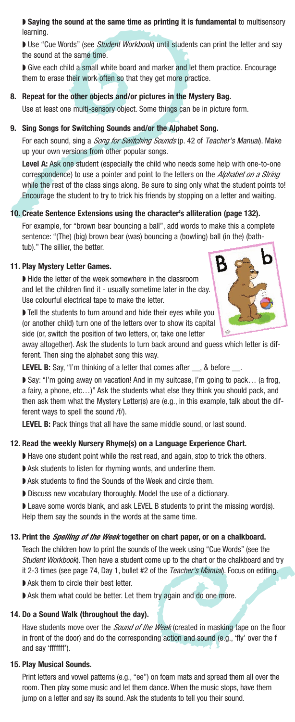◗ **Saying the sound at the same time as printing it is fundamental** to multisensory learning.

Use "Cue Words" (see Student Workbook) until students can print the letter and say the sound at the same time.

■ Give each child a small white board and marker and let them practice. Encourage them to erase their work often so that they get more practice.

#### **8. Repeat for the other objects and/or pictures in the Mystery Bag.**

Use at least one multi-sensory object. Some things can be in picture form.

#### **9. Sing Songs for Switching Sounds and/or the Alphabet Song.**

For each sound, sing a *Song for Switching Sounds* (p. 42 of Teacher's Manual). Make up your own versions from other popular songs.

**Level A:** Ask one student (especially the child who needs some help with one-to-one correspondence) to use a pointer and point to the letters on the *Alphabet on a String* while the rest of the class sings along. Be sure to sing only what the student points to! Encourage the student to try to trick his friends by stopping on a letter and waiting.

#### **10. Create Sentence Extensions using the character's alliteration (page 132).**

For example, for "brown bear bouncing a ball", add words to make this a complete sentence: "(The) (big) brown bear (was) bouncing a (bowling) ball (in the) (bathtub)." The sillier, the better.

#### **11. Play Mystery Letter Games.**

◗ Hide the letter of the week somewhere in the classroom and let the children find it - usually sometime later in the day. Use colourful electrical tape to make the letter.

◗ Tell the students to turn around and hide their eyes while you (or another child) turn one of the letters over to show its capital side (or, switch the position of two letters, or, take one letter



away altogether). Ask the students to turn back around and guess which letter is different. Then sing the alphabet song this way.

LEVEL B: Say, "I'm thinking of a letter that comes after  $\_\_\_$ , & before  $\_\$ 

◗ Say: "I'm going away on vacation! And in my suitcase, I'm going to pack… (a frog, a fairy, a phone, etc…)" Ask the students what else they think you should pack, and then ask them what the Mystery Letter(s) are (e.g., in this example, talk about the different ways to spell the sound /f/).

**LEVEL B:** Pack things that all have the same middle sound, or last sound.

#### **12. Read the weekly Nursery Rhyme(s) on a Language Experience Chart.**

- ◗ Have one student point while the rest read, and again, stop to trick the others.
- ◗ Ask students to listen for rhyming words, and underline them.
- ◗ Ask students to find the Sounds of the Week and circle them.
- ◗ Discuss new vocabulary thoroughly. Model the use of a dictionary.

◗ Leave some words blank, and ask LEVEL B students to print the missing word(s).

Help them say the sounds in the words at the same time.

#### **13. Print the** *Spelling of the Week* **together on chart paper, or on a chalkboard.**

Teach the children how to print the sounds of the week using "Cue Words" (see the Student Workbook). Then have a student come up to the chart or the chalkboard and try it 2-3 times (see page 74, Day 1, bullet #2 of the Teacher's Manual). Focus on editing.

■ Ask them to circle their best letter.

■ Ask them what could be better. Let them try again and do one more.

#### **14. Do a Sound Walk (throughout the day).**

Have students move over the *Sound of the Week* (created in masking tape on the floor in front of the door) and do the corresponding action and sound (e.g., 'fly' over the f and say 'fffffff').

#### **15. Play Musical Sounds.**

Print letters and vowel patterns (e.g., "ee") on foam mats and spread them all over the room. Then play some music and let them dance. When the music stops, have them jump on a letter and say its sound. Ask the students to tell you their sound.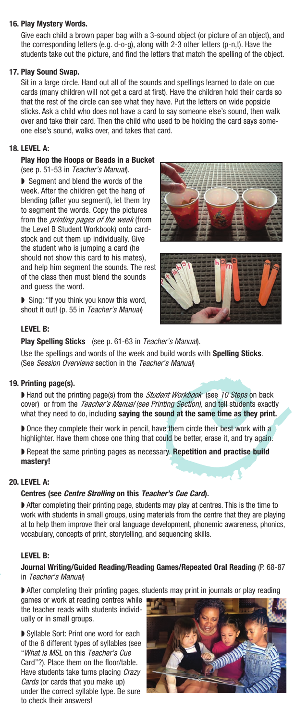#### **16. Play Mystery Words.**

Give each child a brown paper bag with a 3-sound object (or picture of an object), and the corresponding letters (e.g. d-o-g), along with 2-3 other letters (p-n,t). Have the students take out the picture, and find the letters that match the spelling of the object.

#### **17. Play Sound Swap.**

Sit in a large circle. Hand out all of the sounds and spellings learned to date on cue cards (many children will not get a card at first). Have the children hold their cards so that the rest of the circle can see what they have. Put the letters on wide popsicle sticks. Ask a child who does not have a card to say someone else's sound, then walk over and take their card. Then the child who used to be holding the card says someone else's sound, walks over, and takes that card.

#### **18. LEVEL A:**

#### **Play Hop the Hoops or Beads in a Bucket** (see p. 51-53 in Teacher's Manual).

◗ Segment and blend the words of the week. After the children get the hang of blending (after you segment), let them try to segment the words. Copy the pictures from the *printing pages of the week* (from the Level B Student Workbook) onto cardstock and cut them up individually. Give the student who is jumping a card (he should not show this card to his mates), and help him segment the sounds. The rest of the class then must blend the sounds and guess the word.

◗ Sing: "If you think you know this word, shout it out! (p. 55 in Teacher's Manual)





#### **LEVEL B:**

**Play Spelling Sticks** (see p. 61-63 in Teacher's Manual).

Use the spellings and words of the week and build words with **Spelling Sticks**. (See Session Overviews section in the Teacher's Manual)

#### **19. Printing page(s).**

◗ Hand out the printing page(s) from the *Student Workbook* (see 10 Steps on back cover) or from the *Teacher's Manual (see Printing Section),* and tell students exactly what they need to do, including **saying the sound at the same time as they print.**

◗ Once they complete their work in pencil, have them circle their best work with a highlighter. Have them chose one thing that could be better, erase it, and try again.

◗ Repeat the same printing pages as necessary. **Repetition and practise build mastery!**

#### **20. LEVEL A:**

#### **Centres (see Centre Strolling on this Teacher's Cue Card).**

◗ After completing their printing page, students may play at centres. This is the time to work with students in small groups, using materials from the centre that they are playing at to help them improve their oral language development, phonemic awareness, phonics, vocabulary, concepts of print, storytelling, and sequencing skills.

#### **LEVEL B:**

#### **Journal Writing/Guided Reading/Reading Games/Repeated Oral Reading** (P. 68-87 in Teacher's Manual)

▶ After completing their printing pages, students may print in journals or play reading

games or work at reading centres while the teacher reads with students individually or in small groups.

◗ Syllable Sort: Print one word for each of the 6 different types of syllables (see "What is MSL on this Teacher's Cue Card"?). Place them on the floor/table. Have students take turns placing Crazy Cards (or cards that you make up) under the correct syllable type. Be sure to check their answers!